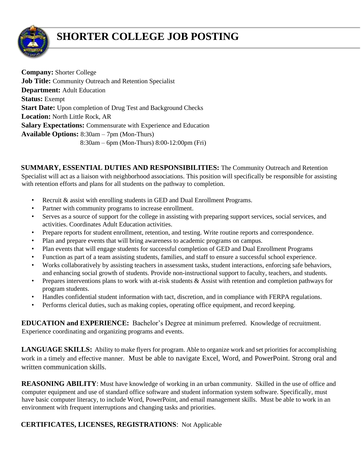

## **SHORTER COLLEGE JOB POSTING**

**Company:** Shorter College **Job Title:** Community Outreach and Retention Specialist **Department:** Adult Education **Status:** Exempt **Start Date:** Upon completion of Drug Test and Background Checks **Location:** North Little Rock, AR **Salary Expectations:** Commensurate with Experience and Education **Available Options:** 8:30am – 7pm (Mon-Thurs) 8:30am – 6pm (Mon-Thurs) 8:00-12:00pm (Fri)

**SUMMARY, ESSENTIAL DUTIES AND RESPONSIBILITIES:** The Community Outreach and Retention Specialist will act as a liaison with neighborhood associations. This position will specifically be responsible for assisting with retention efforts and plans for all students on the pathway to completion.

- Recruit & assist with enrolling students in GED and Dual Enrollment Programs.
- Partner with community programs to increase enrollment.
- Serves as a source of support for the college in assisting with preparing support services, social services, and activities. Coordinates Adult Education activities.
- Prepare reports for student enrollment, retention, and testing. Write routine reports and correspondence.
- Plan and prepare events that will bring awareness to academic programs on campus.
- Plan events that will engage students for successful completion of GED and Dual Enrollment Programs
- Function as part of a team assisting students, families, and staff to ensure a successful school experience.
- Works collaboratively by assisting teachers in assessment tasks, student interactions, enforcing safe behaviors, and enhancing social growth of students. Provide non-instructional support to faculty, teachers, and students.
- Prepares interventions plans to work with at-risk students & Assist with retention and completion pathways for program students.
- Handles confidential student information with tact, discretion, and in compliance with FERPA regulations.
- Performs clerical duties, such as making copies, operating office equipment, and record keeping.

**EDUCATION and EXPERIENCE:** Bachelor's Degree at minimum preferred. Knowledge of recruitment. Experience coordinating and organizing programs and events.

**LANGUAGE SKILLS:** Ability to make flyers for program. Able to organize work and set priorities for accomplishing work in a timely and effective manner. Must be able to navigate Excel, Word, and PowerPoint. Strong oral and written communication skills.

**REASONING ABILITY:** Must have knowledge of working in an urban community. Skilled in the use of office and computer equipment and use of standard office software and student information system software. Specifically, must have basic computer literacy, to include Word, PowerPoint, and email management skills. Must be able to work in an environment with frequent interruptions and changing tasks and priorities.

## **CERTIFICATES, LICENSES, REGISTRATIONS**: Not Applicable